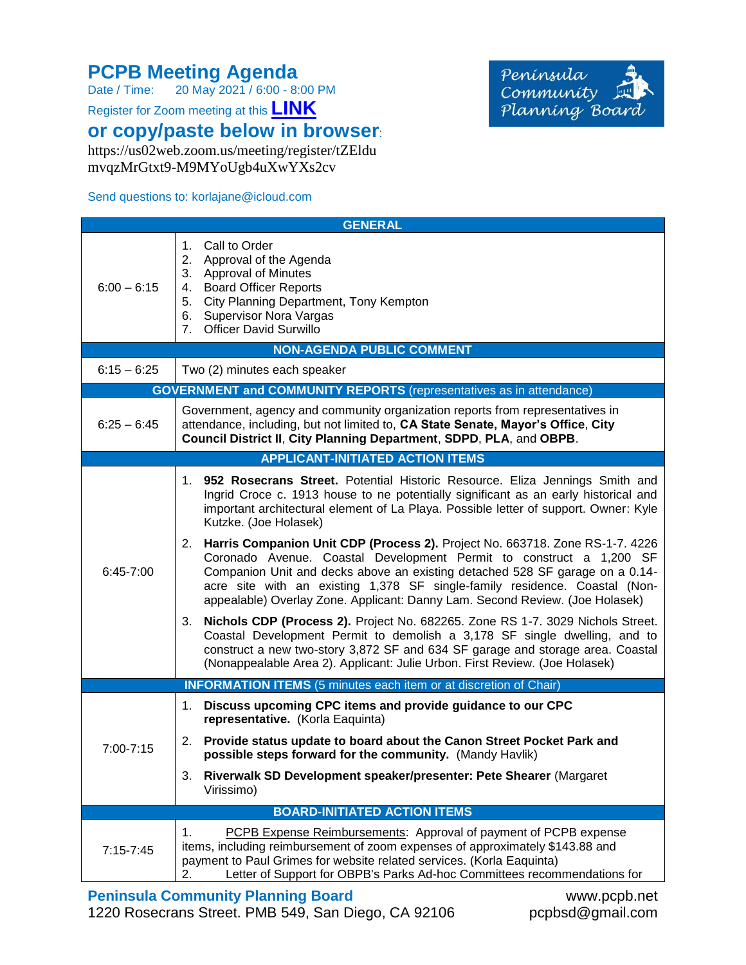## **PCPB Meeting Agenda**<br>Date / Time: 20 May 2021 / 6:00 - 8:

20 May 2021 / 6:00 - 8:00 PM

Register for Zoom meeting at this **[LINK](https://us02web.zoom.us/meeting/register/tZEldumvqzMrGtxt9-M9MYoUgb4uXwYXs2cv)**

**or copy/paste below in browser**:

https://us02web.zoom.us/meeting/register/tZEldu mvqzMrGtxt9-M9MYoUgb4uXwYXs2cv

## Send questions to: korlajane@icloud.com

Península Community Planning Board

|                                                                            | <b>GENERAL</b>                                                                                                                                                                                                                                                                                                                                                                                       |  |
|----------------------------------------------------------------------------|------------------------------------------------------------------------------------------------------------------------------------------------------------------------------------------------------------------------------------------------------------------------------------------------------------------------------------------------------------------------------------------------------|--|
| $6:00 - 6:15$                                                              | Call to Order<br>1.<br>2. Approval of the Agenda<br>3. Approval of Minutes<br><b>Board Officer Reports</b><br>4.<br>City Planning Department, Tony Kempton<br>5.<br>6. Supervisor Nora Vargas<br>7. Officer David Surwillo                                                                                                                                                                           |  |
| <b>NON-AGENDA PUBLIC COMMENT</b>                                           |                                                                                                                                                                                                                                                                                                                                                                                                      |  |
| $6:15 - 6:25$                                                              | Two (2) minutes each speaker                                                                                                                                                                                                                                                                                                                                                                         |  |
| <b>GOVERNMENT and COMMUNITY REPORTS</b> (representatives as in attendance) |                                                                                                                                                                                                                                                                                                                                                                                                      |  |
| $6:25 - 6:45$                                                              | Government, agency and community organization reports from representatives in<br>attendance, including, but not limited to, CA State Senate, Mayor's Office, City<br>Council District II, City Planning Department, SDPD, PLA, and OBPB.                                                                                                                                                             |  |
| <b>APPLICANT-INITIATED ACTION ITEMS</b>                                    |                                                                                                                                                                                                                                                                                                                                                                                                      |  |
| 6:45-7:00                                                                  | 1. 952 Rosecrans Street. Potential Historic Resource. Eliza Jennings Smith and<br>Ingrid Croce c. 1913 house to ne potentially significant as an early historical and<br>important architectural element of La Playa. Possible letter of support. Owner: Kyle<br>Kutzke. (Joe Holasek)                                                                                                               |  |
|                                                                            | 2. Harris Companion Unit CDP (Process 2). Project No. 663718. Zone RS-1-7. 4226<br>Coronado Avenue. Coastal Development Permit to construct a 1,200 SF<br>Companion Unit and decks above an existing detached 528 SF garage on a 0.14-<br>acre site with an existing 1,378 SF single-family residence. Coastal (Non-<br>appealable) Overlay Zone. Applicant: Danny Lam. Second Review. (Joe Holasek) |  |
|                                                                            | Nichols CDP (Process 2). Project No. 682265. Zone RS 1-7. 3029 Nichols Street.<br>3.<br>Coastal Development Permit to demolish a 3,178 SF single dwelling, and to<br>construct a new two-story 3,872 SF and 634 SF garage and storage area. Coastal<br>(Nonappealable Area 2). Applicant: Julie Urbon. First Review. (Joe Holasek)                                                                   |  |
| <b>INFORMATION ITEMS</b> (5 minutes each item or at discretion of Chair)   |                                                                                                                                                                                                                                                                                                                                                                                                      |  |
| 7:00-7:15                                                                  | Discuss upcoming CPC items and provide guidance to our CPC<br>1.<br>representative. (Korla Eaquinta)                                                                                                                                                                                                                                                                                                 |  |
|                                                                            | Provide status update to board about the Canon Street Pocket Park and<br>2.<br>possible steps forward for the community. (Mandy Havlik)                                                                                                                                                                                                                                                              |  |
|                                                                            | Riverwalk SD Development speaker/presenter: Pete Shearer (Margaret<br>3.<br>Virissimo)                                                                                                                                                                                                                                                                                                               |  |
| <b>BOARD-INITIATED ACTION ITEMS</b>                                        |                                                                                                                                                                                                                                                                                                                                                                                                      |  |
| 7:15-7:45                                                                  | 1.<br>PCPB Expense Reimbursements: Approval of payment of PCPB expense<br>items, including reimbursement of zoom expenses of approximately \$143.88 and<br>payment to Paul Grimes for website related services. (Korla Eaquinta)<br>Letter of Support for OBPB's Parks Ad-hoc Committees recommendations for<br>2.                                                                                   |  |